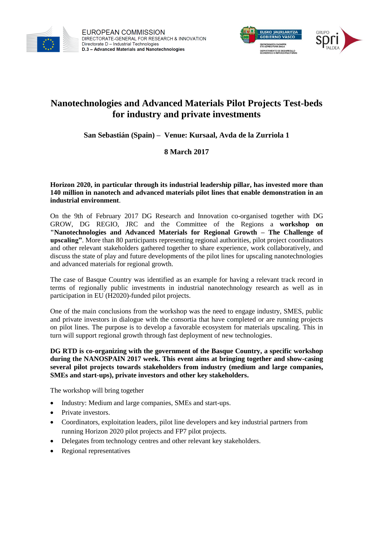

**EUROPEAN COMMISSION** DIRECTORATE-GENERAL FOR RESEARCH & INNOVATION Directorate D - Industrial Technologies D.3 - Advanced Materials and Nanotechnologies



# **Nanotechnologies and Advanced Materials Pilot Projects Test-beds for industry and private investments**

**San Sebastián (Spain) – Venue: Kursaal, Avda de la Zurriola 1** 

# **8 March 2017**

**Horizon 2020, in particular through its industrial leadership pillar, has invested more than 140 million in nanotech and advanced materials pilot lines that enable demonstration in an industrial environment**.

On the 9th of February 2017 DG Research and Innovation co-organised together with DG GROW, DG REGIO, JRC and the Committee of the Regions a **workshop on "Nanotechnologies and Advanced Materials for Regional Growth – The Challenge of upscaling"**. More than 80 participants representing regional authorities, pilot project coordinators and other relevant stakeholders gathered together to share experience, work collaboratively, and discuss the state of play and future developments of the pilot lines for upscaling nanotechnologies and advanced materials for regional growth.

The case of Basque Country was identified as an example for having a relevant track record in terms of regionally public investments in industrial nanotechnology research as well as in participation in EU (H2020)-funded pilot projects.

One of the main conclusions from the workshop was the need to engage industry, SMES, public and private investors in dialogue with the consortia that have completed or are running projects on pilot lines. The purpose is to develop a favorable ecosystem for materials upscaling. This in turn will support regional growth through fast deployment of new technologies.

**DG RTD is co-organizing with the government of the Basque Country, a specific workshop during the NANOSPAIN 2017 week. This event aims at bringing together and show-casing several pilot projects towards stakeholders from industry (medium and large companies, SMEs and start-ups), private investors and other key stakeholders.**

The workshop will bring together

- Industry: Medium and large companies, SMEs and start-ups.
- Private investors.
- Coordinators, exploitation leaders, pilot line developers and key industrial partners from running Horizon 2020 pilot projects and FP7 pilot projects.
- Delegates from technology centres and other relevant key stakeholders.
- Regional representatives